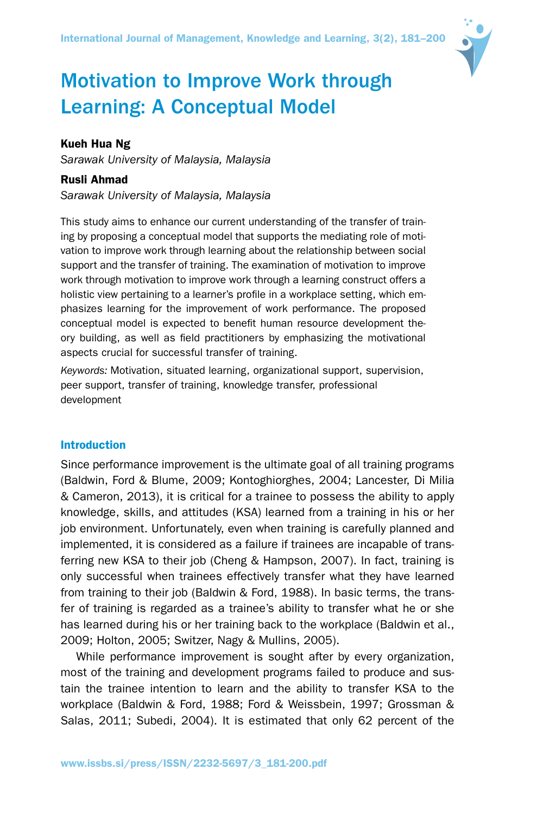

# Motivation to Improve Work through Learning: A Conceptual Model

## Kueh Hua Ng

*Sarawak University of Malaysia, Malaysia*

## Rusli Ahmad

*Sarawak University of Malaysia, Malaysia*

This study aims to enhance our current understanding of the transfer of training by proposing a conceptual model that supports the mediating role of motivation to improve work through learning about the relationship between social support and the transfer of training. The examination of motivation to improve work through motivation to improve work through a learning construct offers a holistic view pertaining to a learner's profile in a workplace setting, which emphasizes learning for the improvement of work performance. The proposed conceptual model is expected to benefit human resource development theory building, as well as field practitioners by emphasizing the motivational aspects crucial for successful transfer of training.

*Keywords:* Motivation, situated learning, organizational support, supervision, peer support, transfer of training, knowledge transfer, professional development

## Introduction

Since performance improvement is the ultimate goal of all training programs (Baldwin, Ford & Blume, 2009; Kontoghiorghes, 2004; Lancester, Di Milia & Cameron, 2013), it is critical for a trainee to possess the ability to apply knowledge, skills, and attitudes (KSA) learned from a training in his or her job environment. Unfortunately, even when training is carefully planned and implemented, it is considered as a failure if trainees are incapable of transferring new KSA to their job (Cheng & Hampson, 2007). In fact, training is only successful when trainees effectively transfer what they have learned from training to their job (Baldwin & Ford, 1988). In basic terms, the transfer of training is regarded as a trainee's ability to transfer what he or she has learned during his or her training back to the workplace (Baldwin et al., 2009; Holton, 2005; Switzer, Nagy & Mullins, 2005).

While performance improvement is sought after by every organization, most of the training and development programs failed to produce and sustain the trainee intention to learn and the ability to transfer KSA to the workplace (Baldwin & Ford, 1988; Ford & Weissbein, 1997; Grossman & Salas, 2011; Subedi, 2004). It is estimated that only 62 percent of the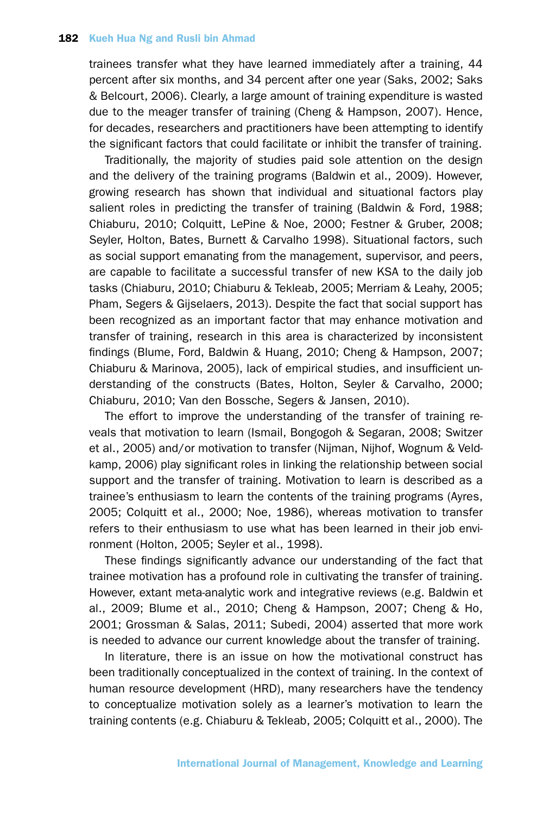trainees transfer what they have learned immediately after a training, 44 percent after six months, and 34 percent after one year (Saks, 2002; Saks & Belcourt, 2006). Clearly, a large amount of training expenditure is wasted due to the meager transfer of training (Cheng & Hampson, 2007). Hence, for decades, researchers and practitioners have been attempting to identify the significant factors that could facilitate or inhibit the transfer of training.

Traditionally, the majority of studies paid sole attention on the design and the delivery of the training programs (Baldwin et al., 2009). However, growing research has shown that individual and situational factors play salient roles in predicting the transfer of training (Baldwin & Ford, 1988; Chiaburu, 2010; Colquitt, LePine & Noe, 2000; Festner & Gruber, 2008; Seyler, Holton, Bates, Burnett & Carvalho 1998). Situational factors, such as social support emanating from the management, supervisor, and peers, are capable to facilitate a successful transfer of new KSA to the daily job tasks (Chiaburu, 2010; Chiaburu & Tekleab, 2005; Merriam & Leahy, 2005; Pham, Segers & Gijselaers, 2013). Despite the fact that social support has been recognized as an important factor that may enhance motivation and transfer of training, research in this area is characterized by inconsistent findings (Blume, Ford, Baldwin & Huang, 2010; Cheng & Hampson, 2007; Chiaburu & Marinova, 2005), lack of empirical studies, and insufficient understanding of the constructs (Bates, Holton, Seyler & Carvalho, 2000; Chiaburu, 2010; Van den Bossche, Segers & Jansen, 2010).

The effort to improve the understanding of the transfer of training reveals that motivation to learn (Ismail, Bongogoh & Segaran, 2008; Switzer et al., 2005) and/or motivation to transfer (Nijman, Nijhof, Wognum & Veldkamp, 2006) play significant roles in linking the relationship between social support and the transfer of training. Motivation to learn is described as a trainee's enthusiasm to learn the contents of the training programs (Ayres, 2005; Colquitt et al., 2000; Noe, 1986), whereas motivation to transfer refers to their enthusiasm to use what has been learned in their job environment (Holton, 2005; Seyler et al., 1998).

These findings significantly advance our understanding of the fact that trainee motivation has a profound role in cultivating the transfer of training. However, extant meta-analytic work and integrative reviews (e.g. Baldwin et al., 2009; Blume et al., 2010; Cheng & Hampson, 2007; Cheng & Ho, 2001; Grossman & Salas, 2011; Subedi, 2004) asserted that more work is needed to advance our current knowledge about the transfer of training.

In literature, there is an issue on how the motivational construct has been traditionally conceptualized in the context of training. In the context of human resource development (HRD), many researchers have the tendency to conceptualize motivation solely as a learner's motivation to learn the training contents (e.g. Chiaburu & Tekleab, 2005; Colquitt et al., 2000). The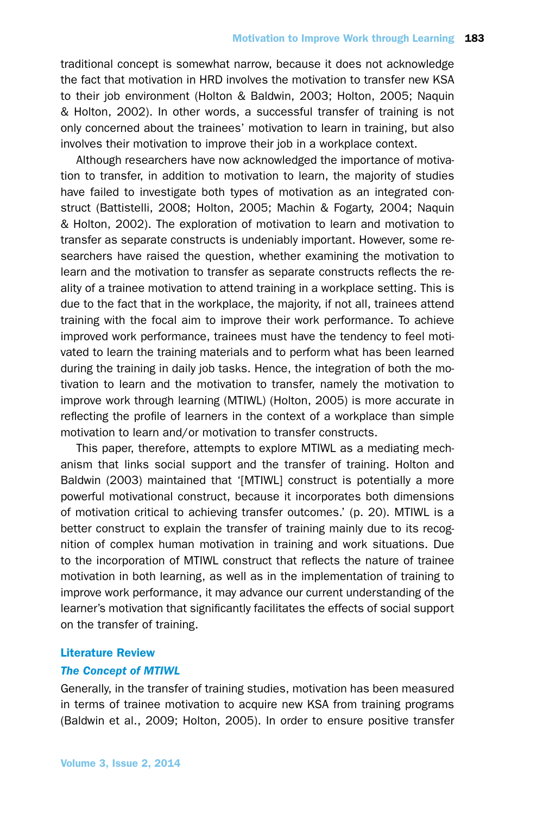traditional concept is somewhat narrow, because it does not acknowledge the fact that motivation in HRD involves the motivation to transfer new KSA to their job environment (Holton & Baldwin, 2003; Holton, 2005; Naquin & Holton, 2002). In other words, a successful transfer of training is not only concerned about the trainees' motivation to learn in training, but also involves their motivation to improve their job in a workplace context.

Although researchers have now acknowledged the importance of motivation to transfer, in addition to motivation to learn, the majority of studies have failed to investigate both types of motivation as an integrated construct (Battistelli, 2008; Holton, 2005; Machin & Fogarty, 2004; Naquin & Holton, 2002). The exploration of motivation to learn and motivation to transfer as separate constructs is undeniably important. However, some researchers have raised the question, whether examining the motivation to learn and the motivation to transfer as separate constructs reflects the reality of a trainee motivation to attend training in a workplace setting. This is due to the fact that in the workplace, the majority, if not all, trainees attend training with the focal aim to improve their work performance. To achieve improved work performance, trainees must have the tendency to feel motivated to learn the training materials and to perform what has been learned during the training in daily job tasks. Hence, the integration of both the motivation to learn and the motivation to transfer, namely the motivation to improve work through learning (MTIWL) (Holton, 2005) is more accurate in reflecting the profile of learners in the context of a workplace than simple motivation to learn and/or motivation to transfer constructs.

This paper, therefore, attempts to explore MTIWL as a mediating mechanism that links social support and the transfer of training. Holton and Baldwin (2003) maintained that '[MTIWL] construct is potentially a more powerful motivational construct, because it incorporates both dimensions of motivation critical to achieving transfer outcomes.' (p. 20). MTIWL is a better construct to explain the transfer of training mainly due to its recognition of complex human motivation in training and work situations. Due to the incorporation of MTIWL construct that reflects the nature of trainee motivation in both learning, as well as in the implementation of training to improve work performance, it may advance our current understanding of the learner's motivation that significantly facilitates the effects of social support on the transfer of training.

## Literature Review

#### *The Concept of MTIWL*

Generally, in the transfer of training studies, motivation has been measured in terms of trainee motivation to acquire new KSA from training programs (Baldwin et al., 2009; Holton, 2005). In order to ensure positive transfer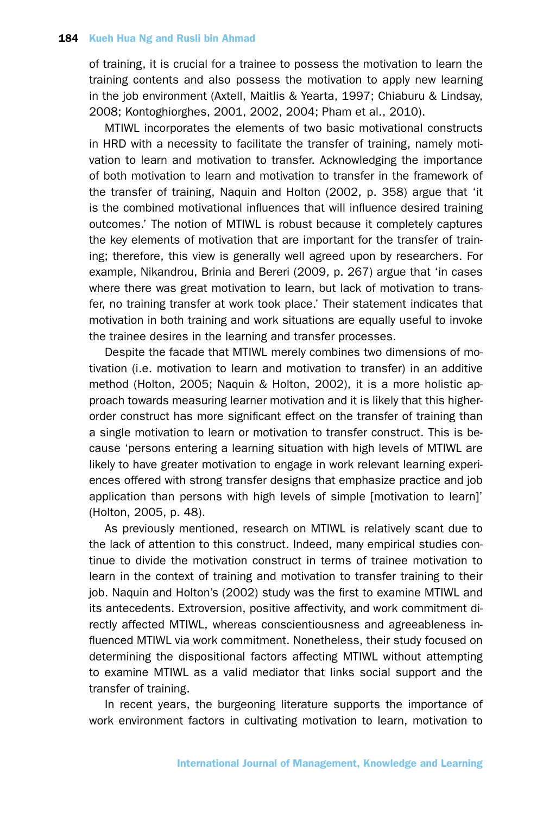of training, it is crucial for a trainee to possess the motivation to learn the training contents and also possess the motivation to apply new learning in the job environment (Axtell, Maitlis & Yearta, 1997; Chiaburu & Lindsay, 2008; Kontoghiorghes, 2001, 2002, 2004; Pham et al., 2010).

MTIWL incorporates the elements of two basic motivational constructs in HRD with a necessity to facilitate the transfer of training, namely motivation to learn and motivation to transfer. Acknowledging the importance of both motivation to learn and motivation to transfer in the framework of the transfer of training, Naquin and Holton (2002, p. 358) argue that 'it is the combined motivational influences that will influence desired training outcomes.' The notion of MTIWL is robust because it completely captures the key elements of motivation that are important for the transfer of training; therefore, this view is generally well agreed upon by researchers. For example, Nikandrou, Brinia and Bereri (2009, p. 267) argue that 'in cases where there was great motivation to learn, but lack of motivation to transfer, no training transfer at work took place.' Their statement indicates that motivation in both training and work situations are equally useful to invoke the trainee desires in the learning and transfer processes.

Despite the facade that MTIWL merely combines two dimensions of motivation (i.e. motivation to learn and motivation to transfer) in an additive method (Holton, 2005; Naquin & Holton, 2002), it is a more holistic approach towards measuring learner motivation and it is likely that this higherorder construct has more significant effect on the transfer of training than a single motivation to learn or motivation to transfer construct. This is because 'persons entering a learning situation with high levels of MTIWL are likely to have greater motivation to engage in work relevant learning experiences offered with strong transfer designs that emphasize practice and job application than persons with high levels of simple [motivation to learn]' (Holton, 2005, p. 48).

As previously mentioned, research on MTIWL is relatively scant due to the lack of attention to this construct. Indeed, many empirical studies continue to divide the motivation construct in terms of trainee motivation to learn in the context of training and motivation to transfer training to their job. Naquin and Holton's (2002) study was the first to examine MTIWL and its antecedents. Extroversion, positive affectivity, and work commitment directly affected MTIWL, whereas conscientiousness and agreeableness influenced MTIWL via work commitment. Nonetheless, their study focused on determining the dispositional factors affecting MTIWL without attempting to examine MTIWL as a valid mediator that links social support and the transfer of training.

In recent years, the burgeoning literature supports the importance of work environment factors in cultivating motivation to learn, motivation to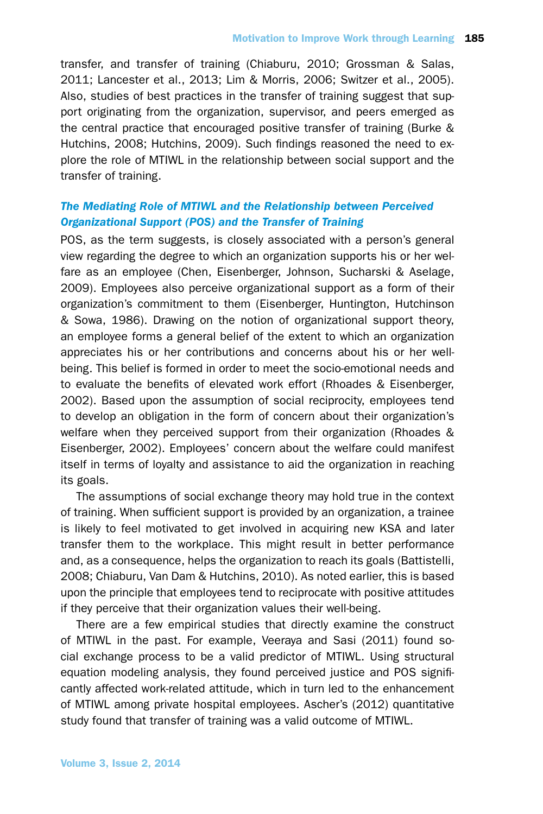transfer, and transfer of training (Chiaburu, 2010; Grossman & Salas, 2011; Lancester et al., 2013; Lim & Morris, 2006; Switzer et al., 2005). Also, studies of best practices in the transfer of training suggest that support originating from the organization, supervisor, and peers emerged as the central practice that encouraged positive transfer of training (Burke & Hutchins, 2008; Hutchins, 2009). Such findings reasoned the need to explore the role of MTIWL in the relationship between social support and the transfer of training.

# *The Mediating Role of MTIWL and the Relationship between Perceived Organizational Support (POS) and the Transfer of Training*

POS, as the term suggests, is closely associated with a person's general view regarding the degree to which an organization supports his or her welfare as an employee (Chen, Eisenberger, Johnson, Sucharski & Aselage, 2009). Employees also perceive organizational support as a form of their organization's commitment to them (Eisenberger, Huntington, Hutchinson & Sowa, 1986). Drawing on the notion of organizational support theory, an employee forms a general belief of the extent to which an organization appreciates his or her contributions and concerns about his or her wellbeing. This belief is formed in order to meet the socio-emotional needs and to evaluate the benefits of elevated work effort (Rhoades & Eisenberger, 2002). Based upon the assumption of social reciprocity, employees tend to develop an obligation in the form of concern about their organization's welfare when they perceived support from their organization (Rhoades & Eisenberger, 2002). Employees' concern about the welfare could manifest itself in terms of loyalty and assistance to aid the organization in reaching its goals.

The assumptions of social exchange theory may hold true in the context of training. When sufficient support is provided by an organization, a trainee is likely to feel motivated to get involved in acquiring new KSA and later transfer them to the workplace. This might result in better performance and, as a consequence, helps the organization to reach its goals (Battistelli, 2008; Chiaburu, Van Dam & Hutchins, 2010). As noted earlier, this is based upon the principle that employees tend to reciprocate with positive attitudes if they perceive that their organization values their well-being.

There are a few empirical studies that directly examine the construct of MTIWL in the past. For example, Veeraya and Sasi (2011) found social exchange process to be a valid predictor of MTIWL. Using structural equation modeling analysis, they found perceived justice and POS significantly affected work-related attitude, which in turn led to the enhancement of MTIWL among private hospital employees. Ascher's (2012) quantitative study found that transfer of training was a valid outcome of MTIWL.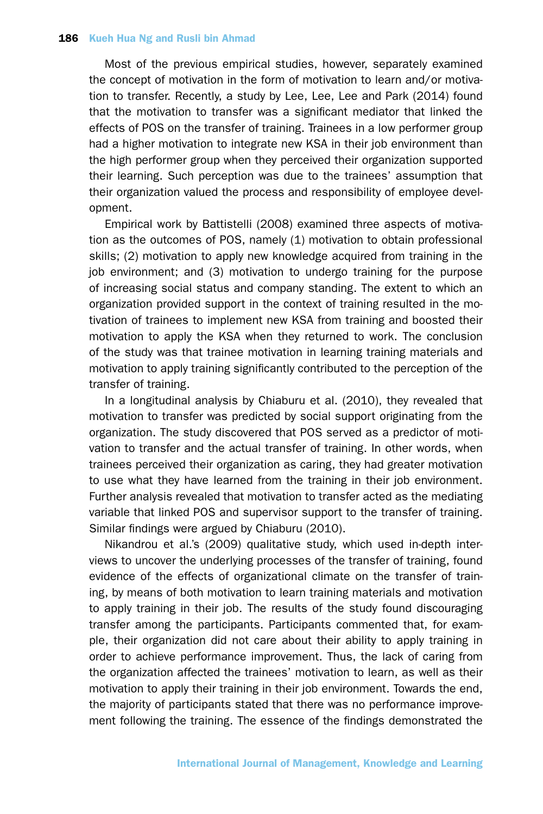Most of the previous empirical studies, however, separately examined the concept of motivation in the form of motivation to learn and/or motivation to transfer. Recently, a study by Lee, Lee, Lee and Park (2014) found that the motivation to transfer was a significant mediator that linked the effects of POS on the transfer of training. Trainees in a low performer group had a higher motivation to integrate new KSA in their job environment than the high performer group when they perceived their organization supported their learning. Such perception was due to the trainees' assumption that their organization valued the process and responsibility of employee development.

Empirical work by Battistelli (2008) examined three aspects of motivation as the outcomes of POS, namely (1) motivation to obtain professional skills; (2) motivation to apply new knowledge acquired from training in the job environment; and (3) motivation to undergo training for the purpose of increasing social status and company standing. The extent to which an organization provided support in the context of training resulted in the motivation of trainees to implement new KSA from training and boosted their motivation to apply the KSA when they returned to work. The conclusion of the study was that trainee motivation in learning training materials and motivation to apply training significantly contributed to the perception of the transfer of training.

In a longitudinal analysis by Chiaburu et al. (2010), they revealed that motivation to transfer was predicted by social support originating from the organization. The study discovered that POS served as a predictor of motivation to transfer and the actual transfer of training. In other words, when trainees perceived their organization as caring, they had greater motivation to use what they have learned from the training in their job environment. Further analysis revealed that motivation to transfer acted as the mediating variable that linked POS and supervisor support to the transfer of training. Similar findings were argued by Chiaburu (2010).

Nikandrou et al.'s (2009) qualitative study, which used in-depth interviews to uncover the underlying processes of the transfer of training, found evidence of the effects of organizational climate on the transfer of training, by means of both motivation to learn training materials and motivation to apply training in their job. The results of the study found discouraging transfer among the participants. Participants commented that, for example, their organization did not care about their ability to apply training in order to achieve performance improvement. Thus, the lack of caring from the organization affected the trainees' motivation to learn, as well as their motivation to apply their training in their job environment. Towards the end, the majority of participants stated that there was no performance improvement following the training. The essence of the findings demonstrated the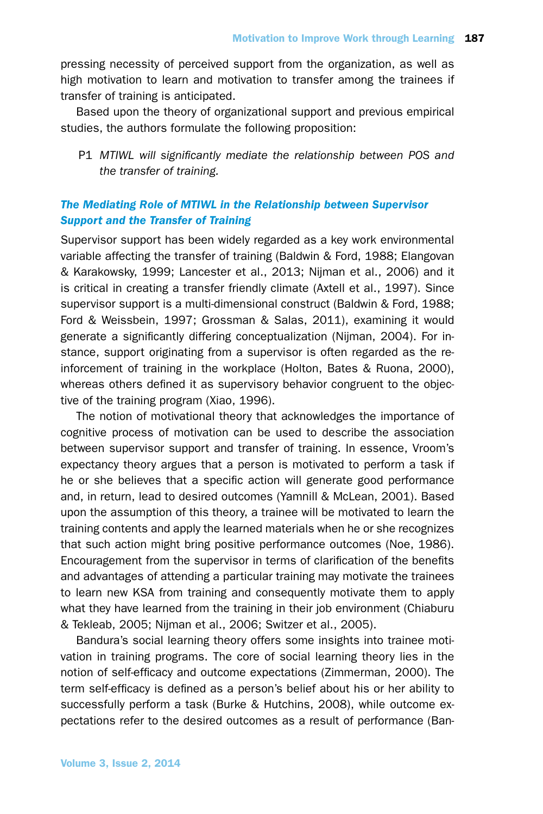pressing necessity of perceived support from the organization, as well as high motivation to learn and motivation to transfer among the trainees if transfer of training is anticipated.

Based upon the theory of organizational support and previous empirical studies, the authors formulate the following proposition:

P1 *MTIWL will significantly mediate the relationship between POS and the transfer of training.*

# *The Mediating Role of MTIWL in the Relationship between Supervisor Support and the Transfer of Training*

Supervisor support has been widely regarded as a key work environmental variable affecting the transfer of training (Baldwin & Ford, 1988; Elangovan & Karakowsky, 1999; Lancester et al., 2013; Nijman et al., 2006) and it is critical in creating a transfer friendly climate (Axtell et al., 1997). Since supervisor support is a multi-dimensional construct (Baldwin & Ford, 1988; Ford & Weissbein, 1997; Grossman & Salas, 2011), examining it would generate a significantly differing conceptualization (Nijman, 2004). For instance, support originating from a supervisor is often regarded as the reinforcement of training in the workplace (Holton, Bates & Ruona, 2000), whereas others defined it as supervisory behavior congruent to the objective of the training program (Xiao, 1996).

The notion of motivational theory that acknowledges the importance of cognitive process of motivation can be used to describe the association between supervisor support and transfer of training. In essence, Vroom's expectancy theory argues that a person is motivated to perform a task if he or she believes that a specific action will generate good performance and, in return, lead to desired outcomes (Yamnill & McLean, 2001). Based upon the assumption of this theory, a trainee will be motivated to learn the training contents and apply the learned materials when he or she recognizes that such action might bring positive performance outcomes (Noe, 1986). Encouragement from the supervisor in terms of clarification of the benefits and advantages of attending a particular training may motivate the trainees to learn new KSA from training and consequently motivate them to apply what they have learned from the training in their job environment (Chiaburu & Tekleab, 2005; Nijman et al., 2006; Switzer et al., 2005).

Bandura's social learning theory offers some insights into trainee motivation in training programs. The core of social learning theory lies in the notion of self-efficacy and outcome expectations (Zimmerman, 2000). The term self-efficacy is defined as a person's belief about his or her ability to successfully perform a task (Burke & Hutchins, 2008), while outcome expectations refer to the desired outcomes as a result of performance (Ban-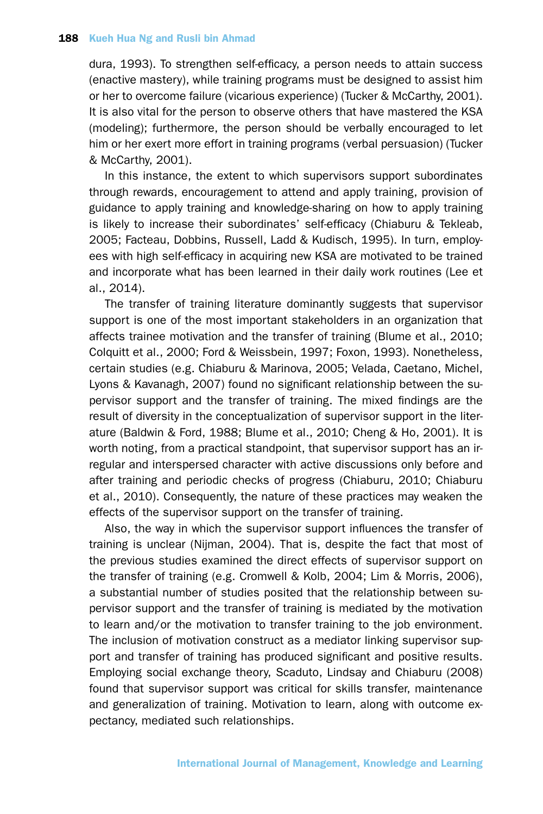dura, 1993). To strengthen self-efficacy, a person needs to attain success (enactive mastery), while training programs must be designed to assist him or her to overcome failure (vicarious experience) (Tucker & McCarthy, 2001). It is also vital for the person to observe others that have mastered the KSA (modeling); furthermore, the person should be verbally encouraged to let him or her exert more effort in training programs (verbal persuasion) (Tucker & McCarthy, 2001).

In this instance, the extent to which supervisors support subordinates through rewards, encouragement to attend and apply training, provision of guidance to apply training and knowledge-sharing on how to apply training is likely to increase their subordinates' self-efficacy (Chiaburu & Tekleab, 2005; Facteau, Dobbins, Russell, Ladd & Kudisch, 1995). In turn, employees with high self-efficacy in acquiring new KSA are motivated to be trained and incorporate what has been learned in their daily work routines (Lee et al., 2014).

The transfer of training literature dominantly suggests that supervisor support is one of the most important stakeholders in an organization that affects trainee motivation and the transfer of training (Blume et al., 2010; Colquitt et al., 2000; Ford & Weissbein, 1997; Foxon, 1993). Nonetheless, certain studies (e.g. Chiaburu & Marinova, 2005; Velada, Caetano, Michel, Lyons & Kavanagh, 2007) found no significant relationship between the supervisor support and the transfer of training. The mixed findings are the result of diversity in the conceptualization of supervisor support in the literature (Baldwin & Ford, 1988; Blume et al., 2010; Cheng & Ho, 2001). It is worth noting, from a practical standpoint, that supervisor support has an irregular and interspersed character with active discussions only before and after training and periodic checks of progress (Chiaburu, 2010; Chiaburu et al., 2010). Consequently, the nature of these practices may weaken the effects of the supervisor support on the transfer of training.

Also, the way in which the supervisor support influences the transfer of training is unclear (Nijman, 2004). That is, despite the fact that most of the previous studies examined the direct effects of supervisor support on the transfer of training (e.g. Cromwell & Kolb, 2004; Lim & Morris, 2006), a substantial number of studies posited that the relationship between supervisor support and the transfer of training is mediated by the motivation to learn and/or the motivation to transfer training to the job environment. The inclusion of motivation construct as a mediator linking supervisor support and transfer of training has produced significant and positive results. Employing social exchange theory, Scaduto, Lindsay and Chiaburu (2008) found that supervisor support was critical for skills transfer, maintenance and generalization of training. Motivation to learn, along with outcome expectancy, mediated such relationships.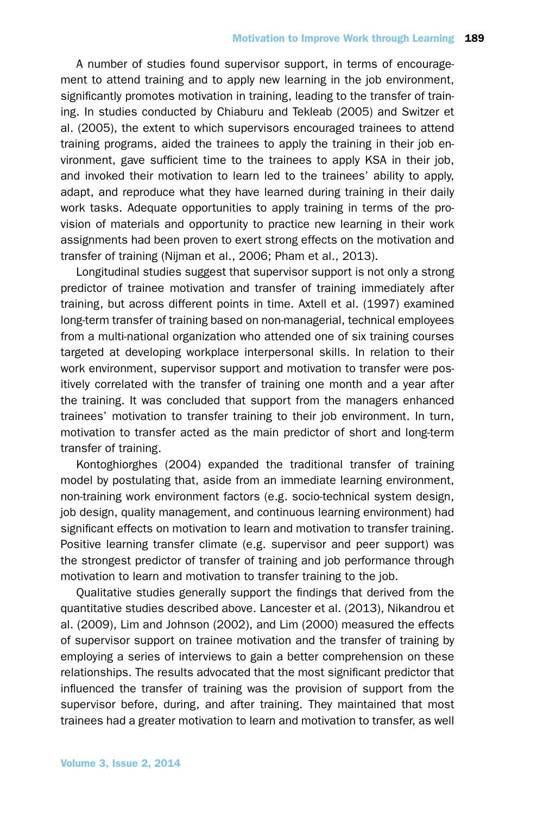A number of studies found supervisor support, in terms of encouragement to attend training and to apply new learning in the job environment, significantly promotes motivation in training, leading to the transfer of training. In studies conducted by Chiaburu and Tekleab (2005) and Switzer et al. (2005), the extent to which supervisors encouraged trainees to attend training programs, aided the trainees to apply the training in their job environment, gave sufficient time to the trainees to apply KSA in their job, and invoked their motivation to learn led to the trainees' ability to apply, adapt, and reproduce what they have learned during training in their daily work tasks. Adequate opportunities to apply training in terms of the provision of materials and opportunity to practice new learning in their work assignments had been proven to exert strong effects on the motivation and transfer of training (Nijman et al., 2006; Pham et al., 2013).

Longitudinal studies suggest that supervisor support is not only a strong predictor of trainee motivation and transfer of training immediately after training, but across different points in time. Axtell et al. (1997) examined long-term transfer of training based on non-managerial, technical employees from a multi-national organization who attended one of six training courses targeted at developing workplace interpersonal skills. In relation to their work environment, supervisor support and motivation to transfer were positively correlated with the transfer of training one month and a year after the training. It was concluded that support from the managers enhanced trainees' motivation to transfer training to their job environment. In turn, motivation to transfer acted as the main predictor of short and long-term transfer of training.

Kontoghiorghes (2004) expanded the traditional transfer of training model by postulating that, aside from an immediate learning environment, non-training work environment factors (e.g. socio-technical system design, job design, quality management, and continuous learning environment) had significant effects on motivation to learn and motivation to transfer training. Positive learning transfer climate (e.g. supervisor and peer support) was the strongest predictor of transfer of training and job performance through motivation to learn and motivation to transfer training to the job.

Qualitative studies generally support the findings that derived from the quantitative studies described above. Lancester et al. (2013), Nikandrou et al. (2009), Lim and Johnson (2002), and Lim (2000) measured the effects of supervisor support on trainee motivation and the transfer of training by employing a series of interviews to gain a better comprehension on these relationships. The results advocated that the most significant predictor that influenced the transfer of training was the provision of support from the supervisor before, during, and after training. They maintained that most trainees had a greater motivation to learn and motivation to transfer, as well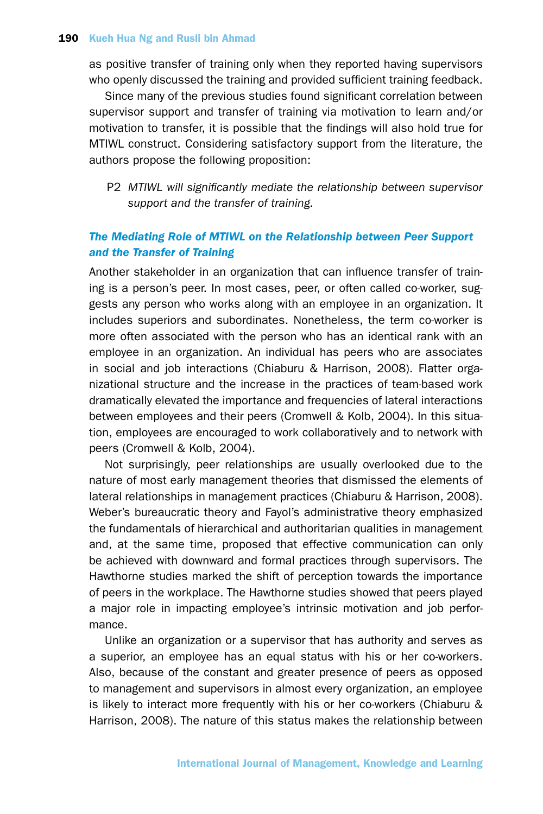as positive transfer of training only when they reported having supervisors who openly discussed the training and provided sufficient training feedback.

Since many of the previous studies found significant correlation between supervisor support and transfer of training via motivation to learn and/or motivation to transfer, it is possible that the findings will also hold true for MTIWL construct. Considering satisfactory support from the literature, the authors propose the following proposition:

P2 *MTIWL will significantly mediate the relationship between supervisor support and the transfer of training.*

## *The Mediating Role of MTIWL on the Relationship between Peer Support and the Transfer of Training*

Another stakeholder in an organization that can influence transfer of training is a person's peer. In most cases, peer, or often called co-worker, suggests any person who works along with an employee in an organization. It includes superiors and subordinates. Nonetheless, the term co-worker is more often associated with the person who has an identical rank with an employee in an organization. An individual has peers who are associates in social and job interactions (Chiaburu & Harrison, 2008). Flatter organizational structure and the increase in the practices of team-based work dramatically elevated the importance and frequencies of lateral interactions between employees and their peers (Cromwell & Kolb, 2004). In this situation, employees are encouraged to work collaboratively and to network with peers (Cromwell & Kolb, 2004).

Not surprisingly, peer relationships are usually overlooked due to the nature of most early management theories that dismissed the elements of lateral relationships in management practices (Chiaburu & Harrison, 2008). Weber's bureaucratic theory and Fayol's administrative theory emphasized the fundamentals of hierarchical and authoritarian qualities in management and, at the same time, proposed that effective communication can only be achieved with downward and formal practices through supervisors. The Hawthorne studies marked the shift of perception towards the importance of peers in the workplace. The Hawthorne studies showed that peers played a major role in impacting employee's intrinsic motivation and job performance.

Unlike an organization or a supervisor that has authority and serves as a superior, an employee has an equal status with his or her co-workers. Also, because of the constant and greater presence of peers as opposed to management and supervisors in almost every organization, an employee is likely to interact more frequently with his or her co-workers (Chiaburu & Harrison, 2008). The nature of this status makes the relationship between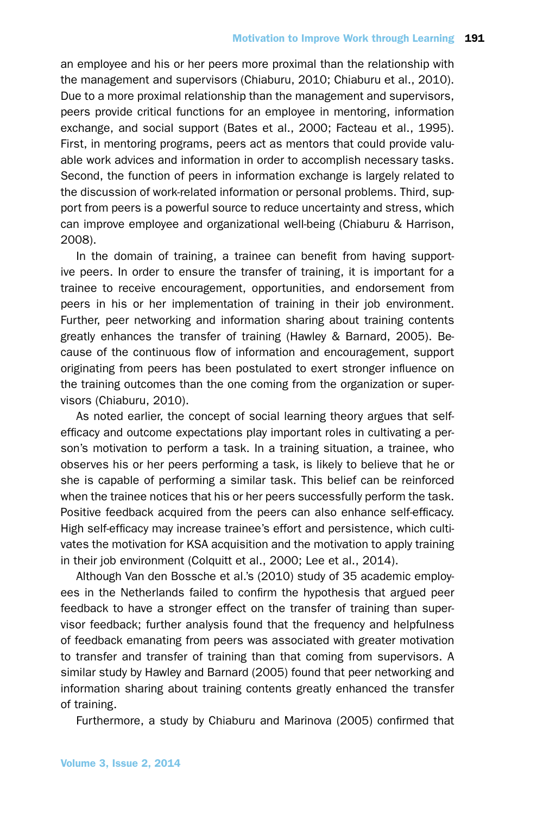an employee and his or her peers more proximal than the relationship with the management and supervisors (Chiaburu, 2010; Chiaburu et al., 2010). Due to a more proximal relationship than the management and supervisors, peers provide critical functions for an employee in mentoring, information exchange, and social support (Bates et al., 2000; Facteau et al., 1995). First, in mentoring programs, peers act as mentors that could provide valuable work advices and information in order to accomplish necessary tasks. Second, the function of peers in information exchange is largely related to the discussion of work-related information or personal problems. Third, support from peers is a powerful source to reduce uncertainty and stress, which can improve employee and organizational well-being (Chiaburu & Harrison, 2008).

In the domain of training, a trainee can benefit from having supportive peers. In order to ensure the transfer of training, it is important for a trainee to receive encouragement, opportunities, and endorsement from peers in his or her implementation of training in their job environment. Further, peer networking and information sharing about training contents greatly enhances the transfer of training (Hawley & Barnard, 2005). Because of the continuous flow of information and encouragement, support originating from peers has been postulated to exert stronger influence on the training outcomes than the one coming from the organization or supervisors (Chiaburu, 2010).

As noted earlier, the concept of social learning theory argues that selfefficacy and outcome expectations play important roles in cultivating a person's motivation to perform a task. In a training situation, a trainee, who observes his or her peers performing a task, is likely to believe that he or she is capable of performing a similar task. This belief can be reinforced when the trainee notices that his or her peers successfully perform the task. Positive feedback acquired from the peers can also enhance self-efficacy. High self-efficacy may increase trainee's effort and persistence, which cultivates the motivation for KSA acquisition and the motivation to apply training in their job environment (Colquitt et al., 2000; Lee et al., 2014).

Although Van den Bossche et al.'s (2010) study of 35 academic employees in the Netherlands failed to confirm the hypothesis that argued peer feedback to have a stronger effect on the transfer of training than supervisor feedback; further analysis found that the frequency and helpfulness of feedback emanating from peers was associated with greater motivation to transfer and transfer of training than that coming from supervisors. A similar study by Hawley and Barnard (2005) found that peer networking and information sharing about training contents greatly enhanced the transfer of training.

Furthermore, a study by Chiaburu and Marinova (2005) confirmed that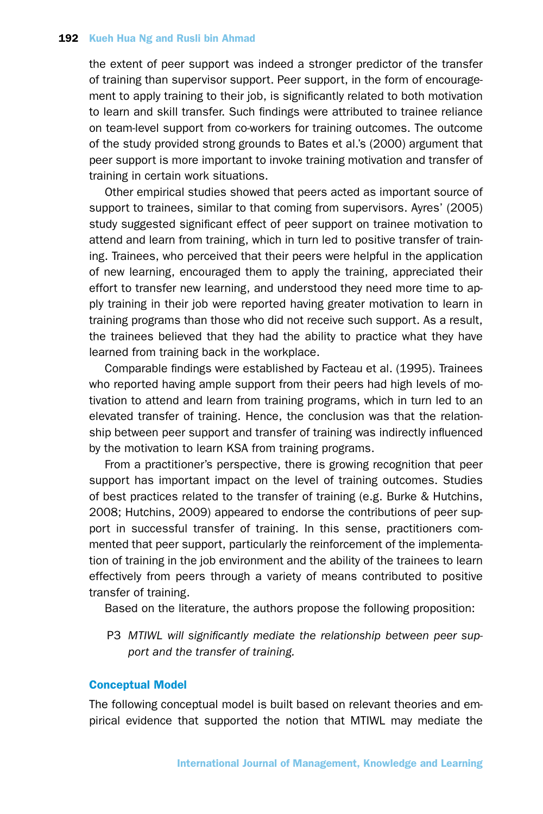the extent of peer support was indeed a stronger predictor of the transfer of training than supervisor support. Peer support, in the form of encouragement to apply training to their job, is significantly related to both motivation to learn and skill transfer. Such findings were attributed to trainee reliance on team-level support from co-workers for training outcomes. The outcome of the study provided strong grounds to Bates et al.'s (2000) argument that peer support is more important to invoke training motivation and transfer of training in certain work situations.

Other empirical studies showed that peers acted as important source of support to trainees, similar to that coming from supervisors. Ayres' (2005) study suggested significant effect of peer support on trainee motivation to attend and learn from training, which in turn led to positive transfer of training. Trainees, who perceived that their peers were helpful in the application of new learning, encouraged them to apply the training, appreciated their effort to transfer new learning, and understood they need more time to apply training in their job were reported having greater motivation to learn in training programs than those who did not receive such support. As a result, the trainees believed that they had the ability to practice what they have learned from training back in the workplace.

Comparable findings were established by Facteau et al. (1995). Trainees who reported having ample support from their peers had high levels of motivation to attend and learn from training programs, which in turn led to an elevated transfer of training. Hence, the conclusion was that the relationship between peer support and transfer of training was indirectly influenced by the motivation to learn KSA from training programs.

From a practitioner's perspective, there is growing recognition that peer support has important impact on the level of training outcomes. Studies of best practices related to the transfer of training (e.g. Burke & Hutchins, 2008; Hutchins, 2009) appeared to endorse the contributions of peer support in successful transfer of training. In this sense, practitioners commented that peer support, particularly the reinforcement of the implementation of training in the job environment and the ability of the trainees to learn effectively from peers through a variety of means contributed to positive transfer of training.

Based on the literature, the authors propose the following proposition:

P3 *MTIWL will significantly mediate the relationship between peer support and the transfer of training.*

## Conceptual Model

The following conceptual model is built based on relevant theories and empirical evidence that supported the notion that MTIWL may mediate the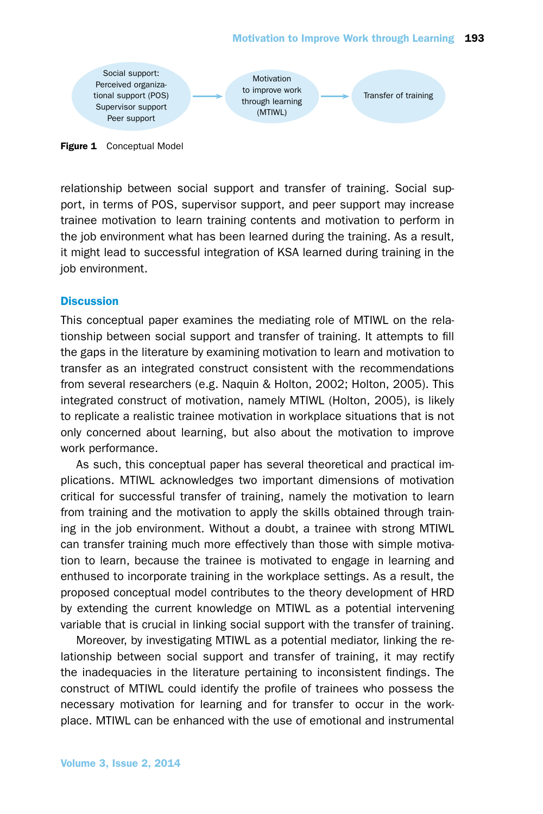

**Figure 1** Conceptual Model

relationship between social support and transfer of training. Social support, in terms of POS, supervisor support, and peer support may increase trainee motivation to learn training contents and motivation to perform in the job environment what has been learned during the training. As a result, it might lead to successful integration of KSA learned during training in the job environment.

## **Discussion**

This conceptual paper examines the mediating role of MTIWL on the relationship between social support and transfer of training. It attempts to fill the gaps in the literature by examining motivation to learn and motivation to transfer as an integrated construct consistent with the recommendations from several researchers (e.g. Naquin & Holton, 2002; Holton, 2005). This integrated construct of motivation, namely MTIWL (Holton, 2005), is likely to replicate a realistic trainee motivation in workplace situations that is not only concerned about learning, but also about the motivation to improve work performance.

As such, this conceptual paper has several theoretical and practical implications. MTIWL acknowledges two important dimensions of motivation critical for successful transfer of training, namely the motivation to learn from training and the motivation to apply the skills obtained through training in the job environment. Without a doubt, a trainee with strong MTIWL can transfer training much more effectively than those with simple motivation to learn, because the trainee is motivated to engage in learning and enthused to incorporate training in the workplace settings. As a result, the proposed conceptual model contributes to the theory development of HRD by extending the current knowledge on MTIWL as a potential intervening variable that is crucial in linking social support with the transfer of training.

Moreover, by investigating MTIWL as a potential mediator, linking the relationship between social support and transfer of training, it may rectify the inadequacies in the literature pertaining to inconsistent findings. The construct of MTIWL could identify the profile of trainees who possess the necessary motivation for learning and for transfer to occur in the workplace. MTIWL can be enhanced with the use of emotional and instrumental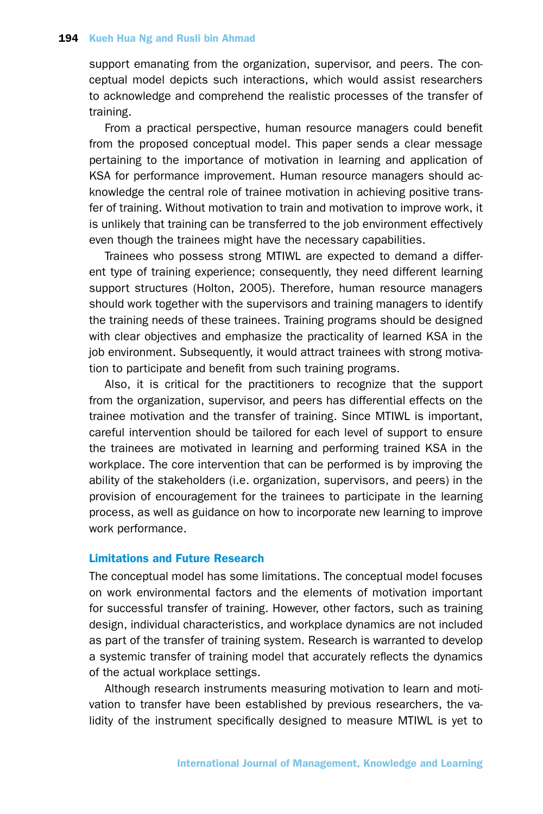support emanating from the organization, supervisor, and peers. The conceptual model depicts such interactions, which would assist researchers to acknowledge and comprehend the realistic processes of the transfer of training.

From a practical perspective, human resource managers could benefit from the proposed conceptual model. This paper sends a clear message pertaining to the importance of motivation in learning and application of KSA for performance improvement. Human resource managers should acknowledge the central role of trainee motivation in achieving positive transfer of training. Without motivation to train and motivation to improve work, it is unlikely that training can be transferred to the job environment effectively even though the trainees might have the necessary capabilities.

Trainees who possess strong MTIWL are expected to demand a different type of training experience; consequently, they need different learning support structures (Holton, 2005). Therefore, human resource managers should work together with the supervisors and training managers to identify the training needs of these trainees. Training programs should be designed with clear objectives and emphasize the practicality of learned KSA in the job environment. Subsequently, it would attract trainees with strong motivation to participate and benefit from such training programs.

Also, it is critical for the practitioners to recognize that the support from the organization, supervisor, and peers has differential effects on the trainee motivation and the transfer of training. Since MTIWL is important, careful intervention should be tailored for each level of support to ensure the trainees are motivated in learning and performing trained KSA in the workplace. The core intervention that can be performed is by improving the ability of the stakeholders (i.e. organization, supervisors, and peers) in the provision of encouragement for the trainees to participate in the learning process, as well as guidance on how to incorporate new learning to improve work performance.

## Limitations and Future Research

The conceptual model has some limitations. The conceptual model focuses on work environmental factors and the elements of motivation important for successful transfer of training. However, other factors, such as training design, individual characteristics, and workplace dynamics are not included as part of the transfer of training system. Research is warranted to develop a systemic transfer of training model that accurately reflects the dynamics of the actual workplace settings.

Although research instruments measuring motivation to learn and motivation to transfer have been established by previous researchers, the validity of the instrument specifically designed to measure MTIWL is yet to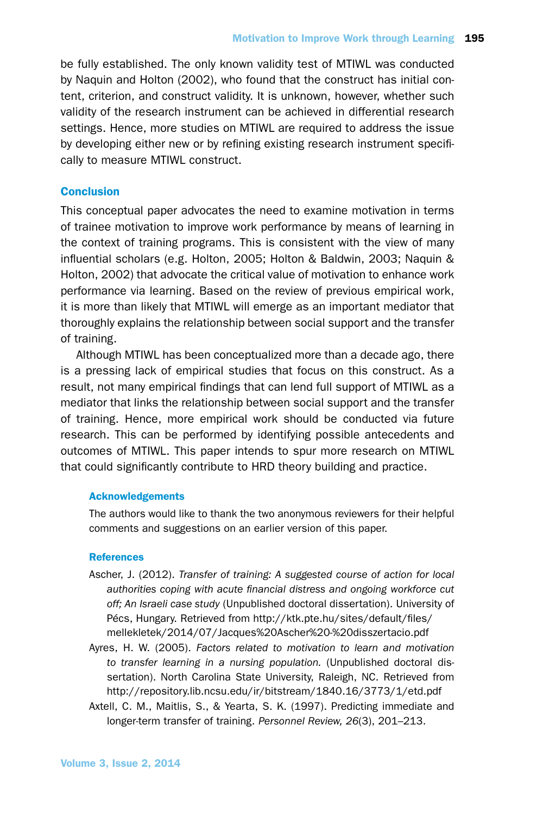be fully established. The only known validity test of MTIWL was conducted by Naquin and Holton (2002), who found that the construct has initial content, criterion, and construct validity. It is unknown, however, whether such validity of the research instrument can be achieved in differential research settings. Hence, more studies on MTIWL are required to address the issue by developing either new or by refining existing research instrument specifically to measure MTIWL construct.

## **Conclusion**

This conceptual paper advocates the need to examine motivation in terms of trainee motivation to improve work performance by means of learning in the context of training programs. This is consistent with the view of many influential scholars (e.g. Holton, 2005; Holton & Baldwin, 2003; Naquin & Holton, 2002) that advocate the critical value of motivation to enhance work performance via learning. Based on the review of previous empirical work, it is more than likely that MTIWL will emerge as an important mediator that thoroughly explains the relationship between social support and the transfer of training.

Although MTIWL has been conceptualized more than a decade ago, there is a pressing lack of empirical studies that focus on this construct. As a result, not many empirical findings that can lend full support of MTIWL as a mediator that links the relationship between social support and the transfer of training. Hence, more empirical work should be conducted via future research. This can be performed by identifying possible antecedents and outcomes of MTIWL. This paper intends to spur more research on MTIWL that could significantly contribute to HRD theory building and practice.

## Acknowledgements

The authors would like to thank the two anonymous reviewers for their helpful comments and suggestions on an earlier version of this paper.

## References

- Ascher, J. (2012). *Transfer of training: A suggested course of action for local authorities coping with acute financial distress and ongoing workforce cut off; An Israeli case study* (Unpublished doctoral dissertation). University of Pécs, Hungary. Retrieved from http://ktk.pte.hu/sites/default/files/ mellekletek/2014/07/Jacques%20Ascher%20-%20disszertacio.pdf
- Ayres, H. W. (2005). *Factors related to motivation to learn and motivation to transfer learning in a nursing population.* (Unpublished doctoral dissertation). North Carolina State University, Raleigh, NC. Retrieved from http://repository.lib.ncsu.edu/ir/bitstream/1840.16/3773/1/etd.pdf
- Axtell, C. M., Maitlis, S., & Yearta, S. K. (1997). Predicting immediate and longer-term transfer of training. *Personnel Review, 26*(3), 201–213.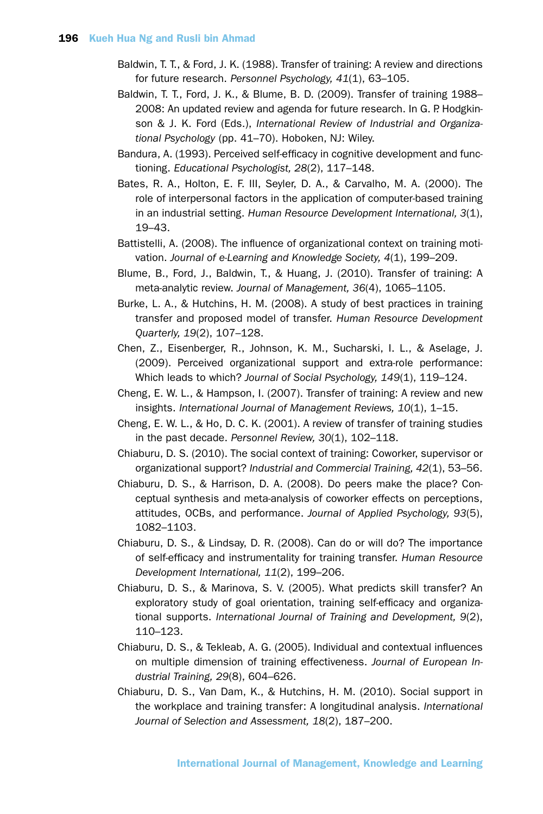- Baldwin, T. T., & Ford, J. K. (1988). Transfer of training: A review and directions for future research. *Personnel Psychology, 41*(1), 63–105.
- Baldwin, T. T., Ford, J. K., & Blume, B. D. (2009). Transfer of training 1988– 2008: An updated review and agenda for future research. In G. P. Hodgkinson & J. K. Ford (Eds.), *International Review of Industrial and Organizational Psychology* (pp. 41–70). Hoboken, NJ: Wiley.
- Bandura, A. (1993). Perceived self-efficacy in cognitive development and functioning. *Educational Psychologist, 28*(2), 117–148.
- Bates, R. A., Holton, E. F. III, Seyler, D. A., & Carvalho, M. A. (2000). The role of interpersonal factors in the application of computer-based training in an industrial setting. *Human Resource Development International, 3*(1), 19–43.
- Battistelli, A. (2008). The influence of organizational context on training motivation. *Journal of e-Learning and Knowledge Society, 4*(1), 199–209.
- Blume, B., Ford, J., Baldwin, T., & Huang, J. (2010). Transfer of training: A meta-analytic review. *Journal of Management, 36*(4), 1065–1105.
- Burke, L. A., & Hutchins, H. M. (2008). A study of best practices in training transfer and proposed model of transfer. *Human Resource Development Quarterly, 19*(2), 107–128.
- Chen, Z., Eisenberger, R., Johnson, K. M., Sucharski, I. L., & Aselage, J. (2009). Perceived organizational support and extra-role performance: Which leads to which? *Journal of Social Psychology, 149*(1), 119–124.
- Cheng, E. W. L., & Hampson, I. (2007). Transfer of training: A review and new insights. *International Journal of Management Reviews, 10*(1), 1–15.
- Cheng, E. W. L., & Ho, D. C. K. (2001). A review of transfer of training studies in the past decade. *Personnel Review, 30*(1), 102–118.
- Chiaburu, D. S. (2010). The social context of training: Coworker, supervisor or organizational support? *Industrial and Commercial Training, 42*(1), 53–56.
- Chiaburu, D. S., & Harrison, D. A. (2008). Do peers make the place? Conceptual synthesis and meta-analysis of coworker effects on perceptions, attitudes, OCBs, and performance. *Journal of Applied Psychology, 93*(5), 1082–1103.
- Chiaburu, D. S., & Lindsay, D. R. (2008). Can do or will do? The importance of self-efficacy and instrumentality for training transfer. *Human Resource Development International, 11*(2), 199–206.
- Chiaburu, D. S., & Marinova, S. V. (2005). What predicts skill transfer? An exploratory study of goal orientation, training self-efficacy and organizational supports. *International Journal of Training and Development, 9*(2), 110–123.
- Chiaburu, D. S., & Tekleab, A. G. (2005). Individual and contextual influences on multiple dimension of training effectiveness. *Journal of European Industrial Training, 29*(8), 604–626.
- Chiaburu, D. S., Van Dam, K., & Hutchins, H. M. (2010). Social support in the workplace and training transfer: A longitudinal analysis. *International Journal of Selection and Assessment, 18*(2), 187–200.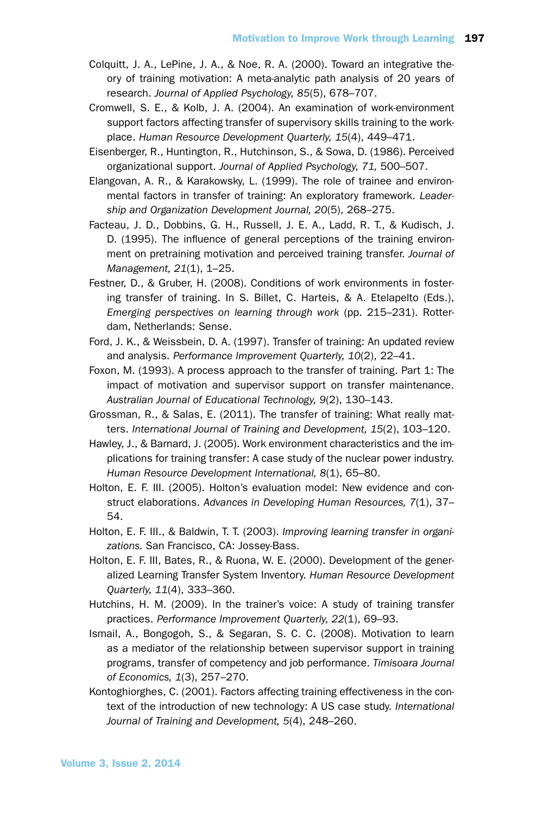- Colquitt, J. A., LePine, J. A., & Noe, R. A. (2000). Toward an integrative theory of training motivation: A meta-analytic path analysis of 20 years of research. *Journal of Applied Psychology, 85*(5), 678–707.
- Cromwell, S. E., & Kolb, J. A. (2004). An examination of work-environment support factors affecting transfer of supervisory skills training to the workplace. *Human Resource Development Quarterly, 15*(4), 449–471.
- Eisenberger, R., Huntington, R., Hutchinson, S., & Sowa, D. (1986). Perceived organizational support. *Journal of Applied Psychology, 71,* 500–507.
- Elangovan, A. R., & Karakowsky, L. (1999). The role of trainee and environmental factors in transfer of training: An exploratory framework. *Leadership and Organization Development Journal, 20*(5), 268–275.
- Facteau, J. D., Dobbins, G. H., Russell, J. E. A., Ladd, R. T., & Kudisch, J. D. (1995). The influence of general perceptions of the training environment on pretraining motivation and perceived training transfer. *Journal of Management, 21*(1), 1–25.
- Festner, D., & Gruber, H. (2008). Conditions of work environments in fostering transfer of training. In S. Billet, C. Harteis, & A. Etelapelto (Eds.), *Emerging perspectives on learning through work* (pp. 215–231). Rotterdam, Netherlands: Sense.
- Ford, J. K., & Weissbein, D. A. (1997). Transfer of training: An updated review and analysis. *Performance Improvement Quarterly, 10*(2), 22–41.
- Foxon, M. (1993). A process approach to the transfer of training. Part 1: The impact of motivation and supervisor support on transfer maintenance. *Australian Journal of Educational Technology, 9*(2), 130–143.
- Grossman, R., & Salas, E. (2011). The transfer of training: What really matters. *International Journal of Training and Development, 15*(2), 103–120.
- Hawley, J., & Barnard, J. (2005). Work environment characteristics and the implications for training transfer: A case study of the nuclear power industry. *Human Resource Development International, 8*(1), 65–80.
- Holton, E. F. III. (2005). Holton's evaluation model: New evidence and construct elaborations. *Advances in Developing Human Resources, 7*(1), 37– 54.
- Holton, E. F. III., & Baldwin, T. T. (2003). *Improving learning transfer in organizations.* San Francisco, CA: Jossey-Bass.
- Holton, E. F. III, Bates, R., & Ruona, W. E. (2000). Development of the generalized Learning Transfer System Inventory. *Human Resource Development Quarterly, 11*(4), 333–360.
- Hutchins, H. M. (2009). In the trainer's voice: A study of training transfer practices. *Performance Improvement Quarterly, 22*(1), 69–93.
- Ismail, A., Bongogoh, S., & Segaran, S. C. C. (2008). Motivation to learn as a mediator of the relationship between supervisor support in training programs, transfer of competency and job performance. *Timisoara Journal of Economics, 1*(3), 257–270.
- Kontoghiorghes, C. (2001). Factors affecting training effectiveness in the context of the introduction of new technology: A US case study. *International Journal of Training and Development, 5*(4), 248–260.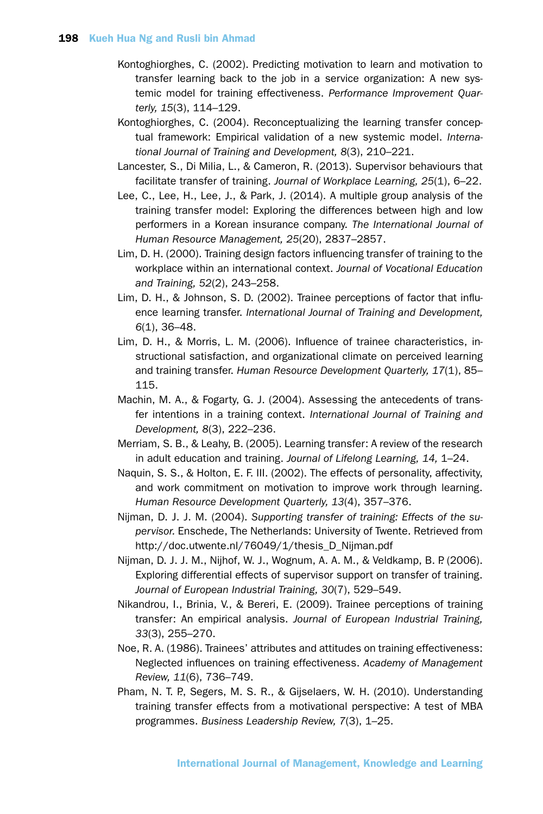- Kontoghiorghes, C. (2002). Predicting motivation to learn and motivation to transfer learning back to the job in a service organization: A new systemic model for training effectiveness. *Performance Improvement Quarterly, 15*(3), 114–129.
- Kontoghiorghes, C. (2004). Reconceptualizing the learning transfer conceptual framework: Empirical validation of a new systemic model. *International Journal of Training and Development, 8*(3), 210–221.
- Lancester, S., Di Milia, L., & Cameron, R. (2013). Supervisor behaviours that facilitate transfer of training. *Journal of Workplace Learning, 25*(1), 6–22.
- Lee, C., Lee, H., Lee, J., & Park, J. (2014). A multiple group analysis of the training transfer model: Exploring the differences between high and low performers in a Korean insurance company. *The International Journal of Human Resource Management, 25*(20), 2837–2857.
- Lim, D. H. (2000). Training design factors influencing transfer of training to the workplace within an international context. *Journal of Vocational Education and Training, 52*(2), 243–258.
- Lim, D. H., & Johnson, S. D. (2002). Trainee perceptions of factor that influence learning transfer. *International Journal of Training and Development, 6*(1), 36–48.
- Lim, D. H., & Morris, L. M. (2006). Influence of trainee characteristics, instructional satisfaction, and organizational climate on perceived learning and training transfer. *Human Resource Development Quarterly, 17*(1), 85– 115.
- Machin, M. A., & Fogarty, G. J. (2004). Assessing the antecedents of transfer intentions in a training context. *International Journal of Training and Development, 8*(3), 222–236.
- Merriam, S. B., & Leahy, B. (2005). Learning transfer: A review of the research in adult education and training. *Journal of Lifelong Learning, 14,* 1–24.
- Naquin, S. S., & Holton, E. F. III. (2002). The effects of personality, affectivity, and work commitment on motivation to improve work through learning. *Human Resource Development Quarterly, 13*(4), 357–376.
- Nijman, D. J. J. M. (2004). *Supporting transfer of training: Effects of the supervisor.* Enschede, The Netherlands: University of Twente. Retrieved from http://doc.utwente.nl/76049/1/thesis\_D\_Nijman.pdf
- Nijman, D. J. J. M., Nijhof, W. J., Wognum, A. A. M., & Veldkamp, B. P. (2006). Exploring differential effects of supervisor support on transfer of training. *Journal of European Industrial Training, 30*(7), 529–549.
- Nikandrou, I., Brinia, V., & Bereri, E. (2009). Trainee perceptions of training transfer: An empirical analysis. *Journal of European Industrial Training, 33*(3), 255–270.
- Noe, R. A. (1986). Trainees' attributes and attitudes on training effectiveness: Neglected influences on training effectiveness. *Academy of Management Review, 11*(6), 736–749.
- Pham, N. T. P., Segers, M. S. R., & Gijselaers, W. H. (2010). Understanding training transfer effects from a motivational perspective: A test of MBA programmes. *Business Leadership Review, 7*(3), 1–25.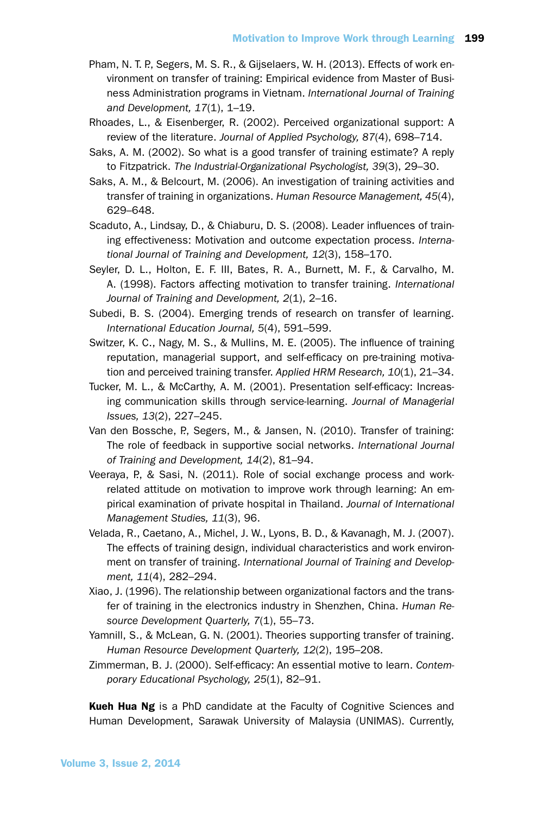- Pham, N. T. P., Segers, M. S. R., & Gijselaers, W. H. (2013). Effects of work environment on transfer of training: Empirical evidence from Master of Business Administration programs in Vietnam. *International Journal of Training and Development, 17*(1), 1–19.
- Rhoades, L., & Eisenberger, R. (2002). Perceived organizational support: A review of the literature. *Journal of Applied Psychology, 87*(4), 698–714.
- Saks, A. M. (2002). So what is a good transfer of training estimate? A reply to Fitzpatrick. *The Industrial-Organizational Psychologist, 39*(3), 29–30.
- Saks, A. M., & Belcourt, M. (2006). An investigation of training activities and transfer of training in organizations. *Human Resource Management, 45*(4), 629–648.
- Scaduto, A., Lindsay, D., & Chiaburu, D. S. (2008). Leader influences of training effectiveness: Motivation and outcome expectation process. *International Journal of Training and Development, 12*(3), 158–170.
- Seyler, D. L., Holton, E. F. III, Bates, R. A., Burnett, M. F., & Carvalho, M. A. (1998). Factors affecting motivation to transfer training. *International Journal of Training and Development, 2*(1), 2–16.
- Subedi, B. S. (2004). Emerging trends of research on transfer of learning. *International Education Journal, 5*(4), 591–599.
- Switzer, K. C., Nagy, M. S., & Mullins, M. E. (2005). The influence of training reputation, managerial support, and self-efficacy on pre-training motivation and perceived training transfer. *Applied HRM Research, 10*(1), 21–34.
- Tucker, M. L., & McCarthy, A. M. (2001). Presentation self-efficacy: Increasing communication skills through service-learning. *Journal of Managerial Issues, 13*(2), 227–245.
- Van den Bossche, P., Segers, M., & Jansen, N. (2010). Transfer of training: The role of feedback in supportive social networks. *International Journal of Training and Development, 14*(2), 81–94.
- Veeraya, P., & Sasi, N. (2011). Role of social exchange process and workrelated attitude on motivation to improve work through learning: An empirical examination of private hospital in Thailand. *Journal of International Management Studies, 11*(3), 96.
- Velada, R., Caetano, A., Michel, J. W., Lyons, B. D., & Kavanagh, M. J. (2007). The effects of training design, individual characteristics and work environment on transfer of training. *International Journal of Training and Development, 11*(4), 282–294.
- Xiao, J. (1996). The relationship between organizational factors and the transfer of training in the electronics industry in Shenzhen, China. *Human Resource Development Quarterly, 7*(1), 55–73.
- Yamnill, S., & McLean, G. N. (2001). Theories supporting transfer of training. *Human Resource Development Quarterly, 12*(2), 195–208.
- Zimmerman, B. J. (2000). Self-efficacy: An essential motive to learn. *Contemporary Educational Psychology, 25*(1), 82–91.

Kueh Hua Ng is a PhD candidate at the Faculty of Cognitive Sciences and Human Development, Sarawak University of Malaysia (UNIMAS). Currently,